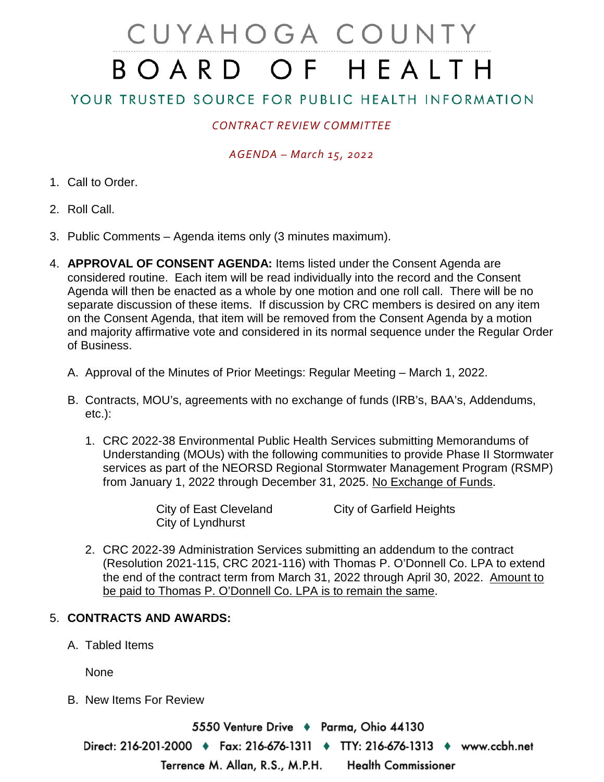# CUYAHOGA COUNTY BOARD OF HEALTH

## YOUR TRUSTED SOURCE FOR PUBLIC HEALTH INFORMATION

## *CONTRACT REVIEW COMMITTEE*

### *AGENDA – March 15, 2022*

- 1. Call to Order.
- 2. Roll Call.
- 3. Public Comments Agenda items only (3 minutes maximum).
- 4. **APPROVAL OF CONSENT AGENDA:** Items listed under the Consent Agenda are considered routine. Each item will be read individually into the record and the Consent Agenda will then be enacted as a whole by one motion and one roll call. There will be no separate discussion of these items. If discussion by CRC members is desired on any item on the Consent Agenda, that item will be removed from the Consent Agenda by a motion and majority affirmative vote and considered in its normal sequence under the Regular Order of Business.
	- A. Approval of the Minutes of Prior Meetings: Regular Meeting March 1, 2022.
	- B. Contracts, MOU's, agreements with no exchange of funds (IRB's, BAA's, Addendums, etc.):
		- 1. CRC 2022-38 Environmental Public Health Services submitting Memorandums of Understanding (MOUs) with the following communities to provide Phase II Stormwater services as part of the NEORSD Regional Stormwater Management Program (RSMP) from January 1, 2022 through December 31, 2025. No Exchange of Funds.

| City of East Cleveland | <b>City of Garfield Heights</b> |
|------------------------|---------------------------------|
| City of Lyndhurst      |                                 |

2. CRC 2022-39 Administration Services submitting an addendum to the contract (Resolution 2021-115, CRC 2021-116) with Thomas P. O'Donnell Co. LPA to extend the end of the contract term from March 31, 2022 through April 30, 2022. Amount to be paid to Thomas P. O'Donnell Co. LPA is to remain the same.

#### 5. **CONTRACTS AND AWARDS:**

A. Tabled Items

None

B. New Items For Review

5550 Venture Drive → Parma, Ohio 44130 Direct: 216-201-2000 ♦ Fax: 216-676-1311 ♦ TTY: 216-676-1313 ♦ www.ccbh.net Terrence M. Allan, R.S., M.P.H. **Health Commissioner**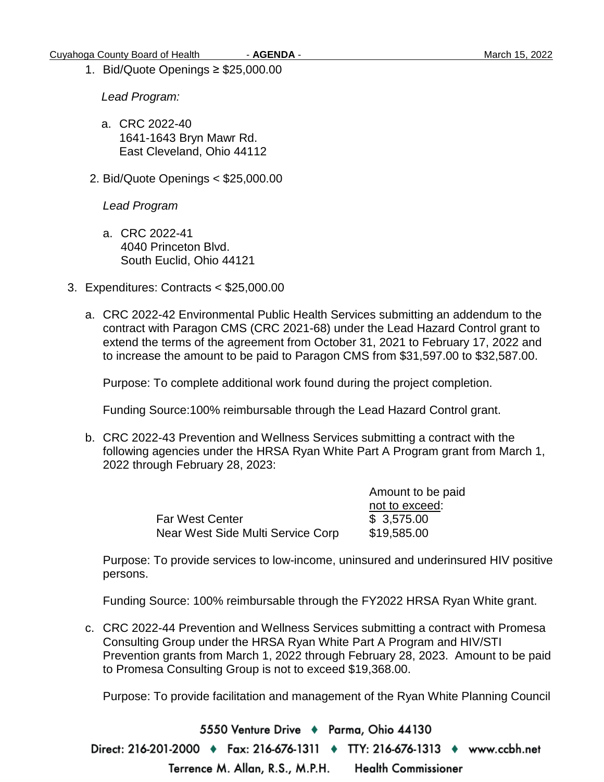1. Bid/Quote Openings ≥ \$25,000.00

*Lead Program:*

- a. CRC 2022-40 1641-1643 Bryn Mawr Rd. East Cleveland, Ohio 44112
- 2. Bid/Quote Openings < \$25,000.00

*Lead Program*

- a. CRC 2022-41 4040 Princeton Blvd. South Euclid, Ohio 44121
- 3. Expenditures: Contracts < \$25,000.00
	- a. CRC 2022-42 Environmental Public Health Services submitting an addendum to the contract with Paragon CMS (CRC 2021-68) under the Lead Hazard Control grant to extend the terms of the agreement from October 31, 2021 to February 17, 2022 and to increase the amount to be paid to Paragon CMS from \$31,597.00 to \$32,587.00.

Purpose: To complete additional work found during the project completion.

Funding Source:100% reimbursable through the Lead Hazard Control grant.

b. CRC 2022-43 Prevention and Wellness Services submitting a contract with the following agencies under the HRSA Ryan White Part A Program grant from March 1, 2022 through February 28, 2023:

|                                   | Amount to be paid |
|-----------------------------------|-------------------|
|                                   | not to exceed:    |
| <b>Far West Center</b>            | \$3,575.00        |
| Near West Side Multi Service Corp | \$19,585.00       |

Purpose: To provide services to low-income, uninsured and underinsured HIV positive persons.

Funding Source: 100% reimbursable through the FY2022 HRSA Ryan White grant.

c. CRC 2022-44 Prevention and Wellness Services submitting a contract with Promesa Consulting Group under the HRSA Ryan White Part A Program and HIV/STI Prevention grants from March 1, 2022 through February 28, 2023. Amount to be paid to Promesa Consulting Group is not to exceed \$19,368.00.

Purpose: To provide facilitation and management of the Ryan White Planning Council

5550 Venture Drive + Parma, Ohio 44130 Direct: 216-201-2000 ♦ Fax: 216-676-1311 ♦ TTY: 216-676-1313 ♦ www.ccbh.net **Health Commissioner** Terrence M. Allan, R.S., M.P.H.